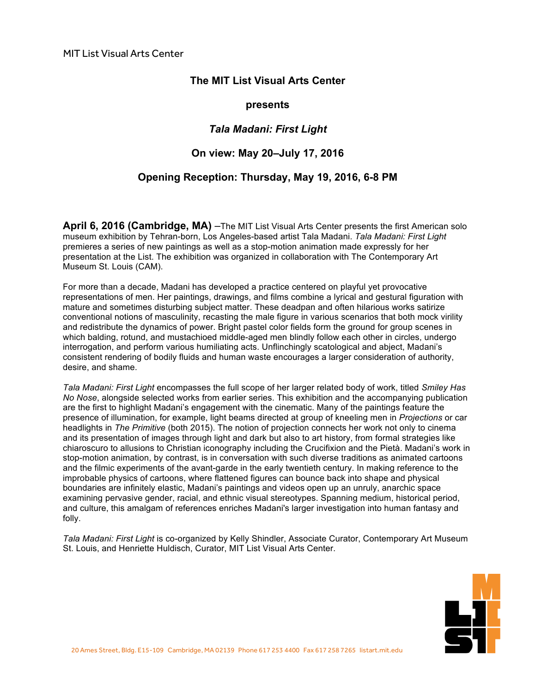# **The MIT List Visual Arts Center**

#### **presents**

# *Tala Madani: First Light*

### **On view: May 20–July 17, 2016**

# **Opening Reception: Thursday, May 19, 2016, 6-8 PM**

**April 6, 2016 (Cambridge, MA)** –The MIT List Visual Arts Center presents the first American solo museum exhibition by Tehran-born, Los Angeles-based artist Tala Madani. *Tala Madani: First Light* premieres a series of new paintings as well as a stop-motion animation made expressly for her presentation at the List. The exhibition was organized in collaboration with The Contemporary Art Museum St. Louis (CAM).

For more than a decade, Madani has developed a practice centered on playful yet provocative representations of men. Her paintings, drawings, and films combine a lyrical and gestural figuration with mature and sometimes disturbing subject matter. These deadpan and often hilarious works satirize conventional notions of masculinity, recasting the male figure in various scenarios that both mock virility and redistribute the dynamics of power. Bright pastel color fields form the ground for group scenes in which balding, rotund, and mustachioed middle-aged men blindly follow each other in circles, undergo interrogation, and perform various humiliating acts. Unflinchingly scatological and abject, Madani's consistent rendering of bodily fluids and human waste encourages a larger consideration of authority, desire, and shame.

*Tala Madani: First Light* encompasses the full scope of her larger related body of work, titled *Smiley Has No Nose*, alongside selected works from earlier series. This exhibition and the accompanying publication are the first to highlight Madani's engagement with the cinematic. Many of the paintings feature the presence of illumination, for example, light beams directed at group of kneeling men in *Projections* or car headlights in *The Primitive* (both 2015). The notion of projection connects her work not only to cinema and its presentation of images through light and dark but also to art history, from formal strategies like chiaroscuro to allusions to Christian iconography including the Crucifixion and the Pietà. Madani's work in stop-motion animation, by contrast, is in conversation with such diverse traditions as animated cartoons and the filmic experiments of the avant-garde in the early twentieth century. In making reference to the improbable physics of cartoons, where flattened figures can bounce back into shape and physical boundaries are infinitely elastic, Madani's paintings and videos open up an unruly, anarchic space examining pervasive gender, racial, and ethnic visual stereotypes. Spanning medium, historical period, and culture, this amalgam of references enriches Madani's larger investigation into human fantasy and folly.

*Tala Madani: First Light* is co-organized by Kelly Shindler, Associate Curator, Contemporary Art Museum St. Louis, and Henriette Huldisch, Curator, MIT List Visual Arts Center.

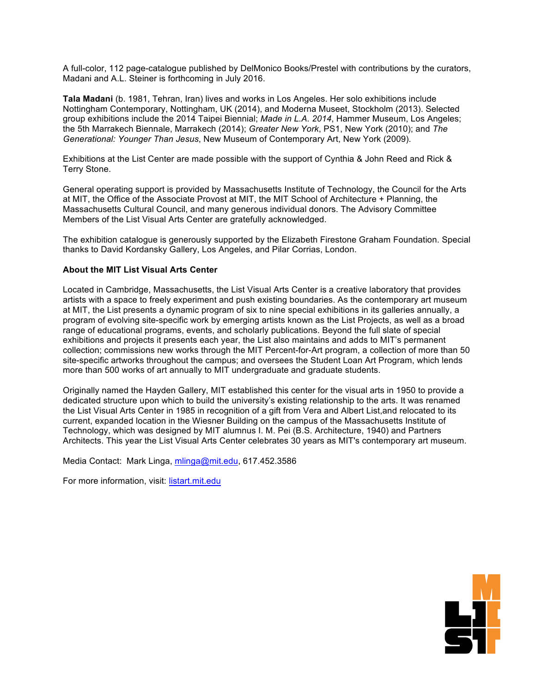A full-color, 112 page-catalogue published by DelMonico Books/Prestel with contributions by the curators, Madani and A.L. Steiner is forthcoming in July 2016.

**Tala Madani** (b. 1981, Tehran, Iran) lives and works in Los Angeles. Her solo exhibitions include Nottingham Contemporary, Nottingham, UK (2014), and Moderna Museet, Stockholm (2013). Selected group exhibitions include the 2014 Taipei Biennial; *Made in L.A. 2014*, Hammer Museum, Los Angeles; the 5th Marrakech Biennale, Marrakech (2014); *Greater New York*, PS1, New York (2010); and *The Generational: Younger Than Jesus*, New Museum of Contemporary Art, New York (2009).

Exhibitions at the List Center are made possible with the support of Cynthia & John Reed and Rick & Terry Stone.

General operating support is provided by Massachusetts Institute of Technology, the Council for the Arts at MIT, the Office of the Associate Provost at MIT, the MIT School of Architecture + Planning, the Massachusetts Cultural Council, and many generous individual donors. The Advisory Committee Members of the List Visual Arts Center are gratefully acknowledged.

The exhibition catalogue is generously supported by the Elizabeth Firestone Graham Foundation. Special thanks to David Kordansky Gallery, Los Angeles, and Pilar Corrias, London.

#### **About the MIT List Visual Arts Center**

Located in Cambridge, Massachusetts, the List Visual Arts Center is a creative laboratory that provides artists with a space to freely experiment and push existing boundaries. As the contemporary art museum at MIT, the List presents a dynamic program of six to nine special exhibitions in its galleries annually, a program of evolving site-specific work by emerging artists known as the List Projects, as well as a broad range of educational programs, events, and scholarly publications. Beyond the full slate of special exhibitions and projects it presents each year, the List also maintains and adds to MIT's permanent collection; commissions new works through the MIT Percent-for-Art program, a collection of more than 50 site-specific artworks throughout the campus; and oversees the Student Loan Art Program, which lends more than 500 works of art annually to MIT undergraduate and graduate students.

Originally named the Hayden Gallery, MIT established this center for the visual arts in 1950 to provide a dedicated structure upon which to build the university's existing relationship to the arts. It was renamed the List Visual Arts Center in 1985 in recognition of a gift from Vera and Albert List,and relocated to its current, expanded location in the Wiesner Building on the campus of the Massachusetts Institute of Technology, which was designed by MIT alumnus I. M. Pei (B.S. Architecture, 1940) and Partners Architects. This year the List Visual Arts Center celebrates 30 years as MIT's contemporary art museum.

Media Contact: Mark Linga, [mlinga@mit.edu,](mailto:mlinga@mit.edu) [617.452.3586](tel:6174523586)

For more information, visit: <listart.mit.edu>